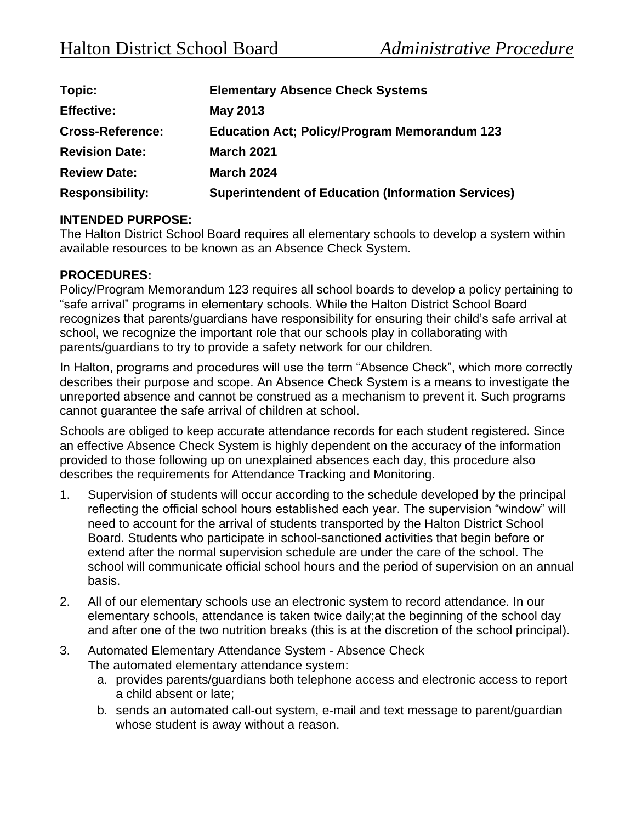| Topic:                  | <b>Elementary Absence Check Systems</b>                   |
|-------------------------|-----------------------------------------------------------|
| <b>Effective:</b>       | May 2013                                                  |
| <b>Cross-Reference:</b> | <b>Education Act; Policy/Program Memorandum 123</b>       |
| <b>Revision Date:</b>   | <b>March 2021</b>                                         |
| <b>Review Date:</b>     | <b>March 2024</b>                                         |
| <b>Responsibility:</b>  | <b>Superintendent of Education (Information Services)</b> |

## **INTENDED PURPOSE:**

The Halton District School Board requires all elementary schools to develop a system within available resources to be known as an Absence Check System.

## **PROCEDURES:**

Policy/Program Memorandum 123 requires all school boards to develop a policy pertaining to "safe arrival" programs in elementary schools. While the Halton District School Board recognizes that parents/guardians have responsibility for ensuring their child's safe arrival at school, we recognize the important role that our schools play in collaborating with parents/guardians to try to provide a safety network for our children.

In Halton, programs and procedures will use the term "Absence Check", which more correctly describes their purpose and scope. An Absence Check System is a means to investigate the unreported absence and cannot be construed as a mechanism to prevent it. Such programs cannot guarantee the safe arrival of children at school.

Schools are obliged to keep accurate attendance records for each student registered. Since an effective Absence Check System is highly dependent on the accuracy of the information provided to those following up on unexplained absences each day, this procedure also describes the requirements for Attendance Tracking and Monitoring.

- 1. Supervision of students will occur according to the schedule developed by the principal reflecting the official school hours established each year. The supervision "window" will need to account for the arrival of students transported by the Halton District School Board. Students who participate in school-sanctioned activities that begin before or extend after the normal supervision schedule are under the care of the school. The school will communicate official school hours and the period of supervision on an annual basis.
- 2. All of our elementary schools use an electronic system to record attendance. In our elementary schools, attendance is taken twice daily;at the beginning of the school day and after one of the two nutrition breaks (this is at the discretion of the school principal).
- 3. Automated Elementary Attendance System Absence Check The automated elementary attendance system:
	- a. provides parents/guardians both telephone access and electronic access to report a child absent or late;
	- b. sends an automated call-out system, e-mail and text message to parent/guardian whose student is away without a reason.